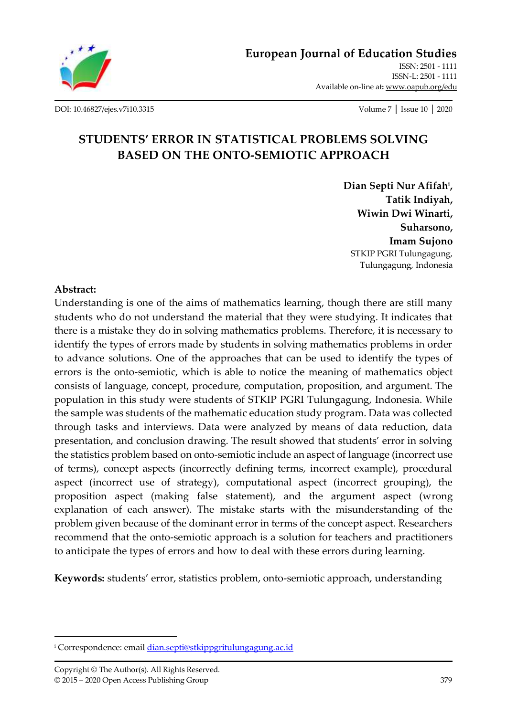

**[European Journal of Education Studies](http://oapub.org/edu/index.php/ejes)** [ISSN: 2501 -](http://oapub.org/edu/index.php/ejes) 1111 [ISSN-L: 2501 -](http://oapub.org/edu/index.php/ejes) 1111 Available on-line at**:** [www.oapub.org/edu](http://www.oapub.org/edu)

[DOI: 10.46827/ejes.v7i10.3315](http://dx.doi.org/10.46827/ejes.v7i10.3315) Volume 7 │ Issue 10 │ 2020

# **STUDENTS' ERROR IN STATISTICAL PROBLEMS SOLVING BASED ON THE ONTO-SEMIOTIC APPROACH**

**Dian Septi Nur Afifah<sup>i</sup> , Tatik Indiyah, Wiwin Dwi Winarti, Suharsono, Imam Sujono** STKIP PGRI Tulungagung, Tulungagung, Indonesia

#### **Abstract:**

Understanding is one of the aims of mathematics learning, though there are still many students who do not understand the material that they were studying. It indicates that there is a mistake they do in solving mathematics problems. Therefore, it is necessary to identify the types of errors made by students in solving mathematics problems in order to advance solutions. One of the approaches that can be used to identify the types of errors is the onto-semiotic, which is able to notice the meaning of mathematics object consists of language, concept, procedure, computation, proposition, and argument. The population in this study were students of STKIP PGRI Tulungagung, Indonesia. While the sample was students of the mathematic education study program. Data was collected through tasks and interviews. Data were analyzed by means of data reduction, data presentation, and conclusion drawing. The result showed that students' error in solving the statistics problem based on onto-semiotic include an aspect of language (incorrect use of terms), concept aspects (incorrectly defining terms, incorrect example), procedural aspect (incorrect use of strategy), computational aspect (incorrect grouping), the proposition aspect (making false statement), and the argument aspect (wrong explanation of each answer). The mistake starts with the misunderstanding of the problem given because of the dominant error in terms of the concept aspect. Researchers recommend that the onto-semiotic approach is a solution for teachers and practitioners to anticipate the types of errors and how to deal with these errors during learning.

**Keywords:** students' error, statistics problem, onto-semiotic approach, understanding

<sup>&</sup>lt;sup>i</sup> Correspondence: emai[l dian.septi@stkippgritulungagung.ac.id](mailto:dian.septi@stkippgritulungagung.ac.id)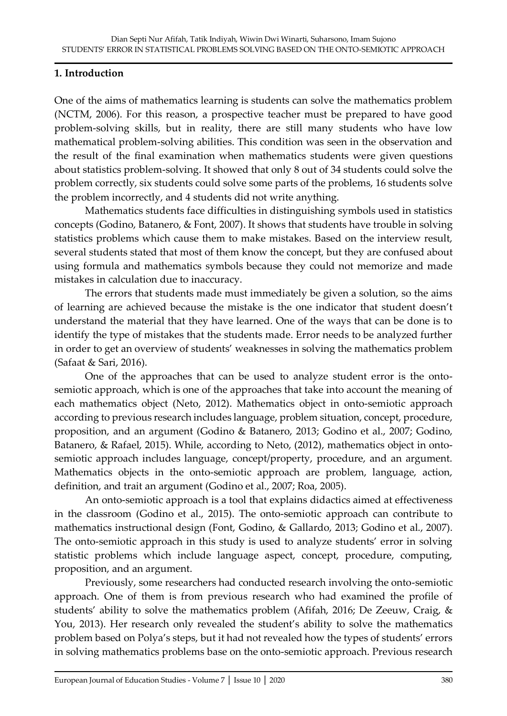# **1. Introduction**

One of the aims of mathematics learning is students can solve the mathematics problem (NCTM, 2006). For this reason, a prospective teacher must be prepared to have good problem-solving skills, but in reality, there are still many students who have low mathematical problem-solving abilities. This condition was seen in the observation and the result of the final examination when mathematics students were given questions about statistics problem-solving. It showed that only 8 out of 34 students could solve the problem correctly, six students could solve some parts of the problems, 16 students solve the problem incorrectly, and 4 students did not write anything.

Mathematics students face difficulties in distinguishing symbols used in statistics concepts (Godino, Batanero, & Font, 2007). It shows that students have trouble in solving statistics problems which cause them to make mistakes. Based on the interview result, several students stated that most of them know the concept, but they are confused about using formula and mathematics symbols because they could not memorize and made mistakes in calculation due to inaccuracy.

The errors that students made must immediately be given a solution, so the aims of learning are achieved because the mistake is the one indicator that student doesn't understand the material that they have learned. One of the ways that can be done is to identify the type of mistakes that the students made. Error needs to be analyzed further in order to get an overview of students' weaknesses in solving the mathematics problem (Safaat & Sari, 2016).

One of the approaches that can be used to analyze student error is the ontosemiotic approach, which is one of the approaches that take into account the meaning of each mathematics object (Neto, 2012). Mathematics object in onto-semiotic approach according to previous research includes language, problem situation, concept, procedure, proposition, and an argument (Godino & Batanero, 2013; Godino et al., 2007; Godino, Batanero, & Rafael, 2015). While, according to Neto, (2012), mathematics object in ontosemiotic approach includes language, concept/property, procedure, and an argument. Mathematics objects in the onto-semiotic approach are problem, language, action, definition, and trait an argument (Godino et al., 2007; Roa, 2005).

An onto-semiotic approach is a tool that explains didactics aimed at effectiveness in the classroom (Godino et al., 2015). The onto-semiotic approach can contribute to mathematics instructional design (Font, Godino, & Gallardo, 2013; Godino et al., 2007). The onto-semiotic approach in this study is used to analyze students' error in solving statistic problems which include language aspect, concept, procedure, computing, proposition, and an argument.

Previously, some researchers had conducted research involving the onto-semiotic approach. One of them is from previous research who had examined the profile of students' ability to solve the mathematics problem (Afifah, 2016; De Zeeuw, Craig, & You, 2013). Her research only revealed the student's ability to solve the mathematics problem based on Polya's steps, but it had not revealed how the types of students' errors in solving mathematics problems base on the onto-semiotic approach. Previous research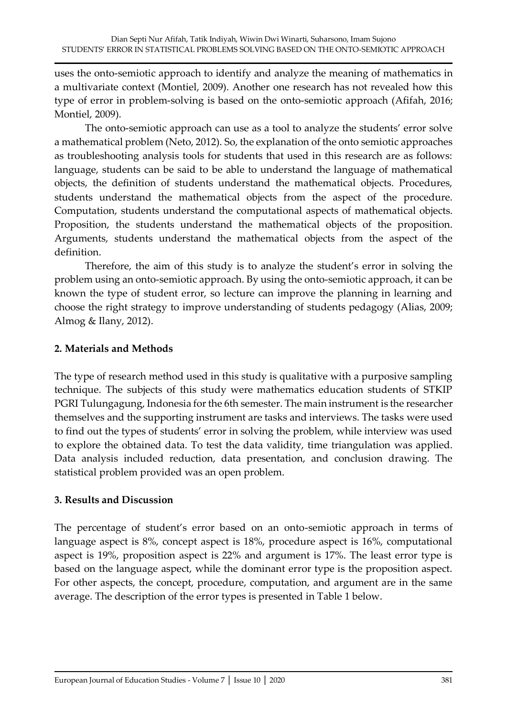uses the onto-semiotic approach to identify and analyze the meaning of mathematics in a multivariate context (Montiel, 2009). Another one research has not revealed how this type of error in problem-solving is based on the onto-semiotic approach (Afifah, 2016; Montiel, 2009).

The onto-semiotic approach can use as a tool to analyze the students' error solve a mathematical problem (Neto, 2012). So, the explanation of the onto semiotic approaches as troubleshooting analysis tools for students that used in this research are as follows: language, students can be said to be able to understand the language of mathematical objects, the definition of students understand the mathematical objects. Procedures, students understand the mathematical objects from the aspect of the procedure. Computation, students understand the computational aspects of mathematical objects. Proposition, the students understand the mathematical objects of the proposition. Arguments, students understand the mathematical objects from the aspect of the definition.

Therefore, the aim of this study is to analyze the student's error in solving the problem using an onto-semiotic approach. By using the onto-semiotic approach, it can be known the type of student error, so lecture can improve the planning in learning and choose the right strategy to improve understanding of students pedagogy (Alias, 2009; Almog & Ilany, 2012).

## **2. Materials and Methods**

The type of research method used in this study is qualitative with a purposive sampling technique. The subjects of this study were mathematics education students of STKIP PGRI Tulungagung, Indonesia for the 6th semester. The main instrument is the researcher themselves and the supporting instrument are tasks and interviews. The tasks were used to find out the types of students' error in solving the problem, while interview was used to explore the obtained data. To test the data validity, time triangulation was applied. Data analysis included reduction, data presentation, and conclusion drawing. The statistical problem provided was an open problem.

#### **3. Results and Discussion**

The percentage of student's error based on an onto-semiotic approach in terms of language aspect is 8%, concept aspect is 18%, procedure aspect is 16%, computational aspect is 19%, proposition aspect is 22% and argument is 17%. The least error type is based on the language aspect, while the dominant error type is the proposition aspect. For other aspects, the concept, procedure, computation, and argument are in the same average. The description of the error types is presented in Table 1 below.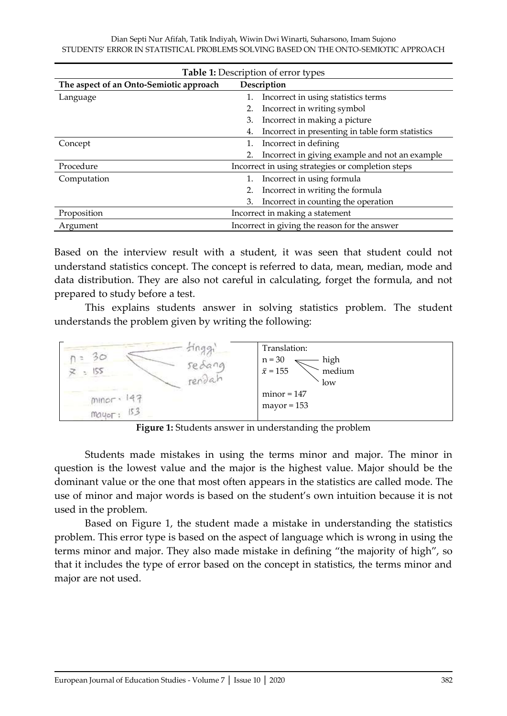| <b>Table 1:</b> Description of error types |    |                                                   |  |  |  |  |
|--------------------------------------------|----|---------------------------------------------------|--|--|--|--|
| The aspect of an Onto-Semiotic approach    |    | Description                                       |  |  |  |  |
| Language                                   |    | Incorrect in using statistics terms               |  |  |  |  |
|                                            | 2. | Incorrect in writing symbol                       |  |  |  |  |
|                                            | 3. | Incorrect in making a picture                     |  |  |  |  |
|                                            | 4. | Incorrect in presenting in table form statistics  |  |  |  |  |
| Concept                                    | 1. | Incorrect in defining                             |  |  |  |  |
|                                            |    | Incorrect in giving example and not an example    |  |  |  |  |
| Procedure                                  |    | Incorrect in using strategies or completion steps |  |  |  |  |
| Computation                                |    | Incorrect in using formula                        |  |  |  |  |
|                                            | 2. | Incorrect in writing the formula                  |  |  |  |  |
|                                            | 3. | Incorrect in counting the operation               |  |  |  |  |
| Proposition                                |    | Incorrect in making a statement                   |  |  |  |  |
| Argument                                   |    | Incorrect in giving the reason for the answer     |  |  |  |  |

Based on the interview result with a student, it was seen that student could not understand statistics concept. The concept is referred to data, mean, median, mode and data distribution. They are also not careful in calculating, forget the formula, and not prepared to study before a test.

This explains students answer in solving statistics problem. The student understands the problem given by writing the following:



**Figure 1:** Students answer in understanding the problem

Students made mistakes in using the terms minor and major. The minor in question is the lowest value and the major is the highest value. Major should be the dominant value or the one that most often appears in the statistics are called mode. The use of minor and major words is based on the student's own intuition because it is not used in the problem.

Based on Figure 1, the student made a mistake in understanding the statistics problem. This error type is based on the aspect of language which is wrong in using the terms minor and major. They also made mistake in defining "the majority of high", so that it includes the type of error based on the concept in statistics, the terms minor and major are not used.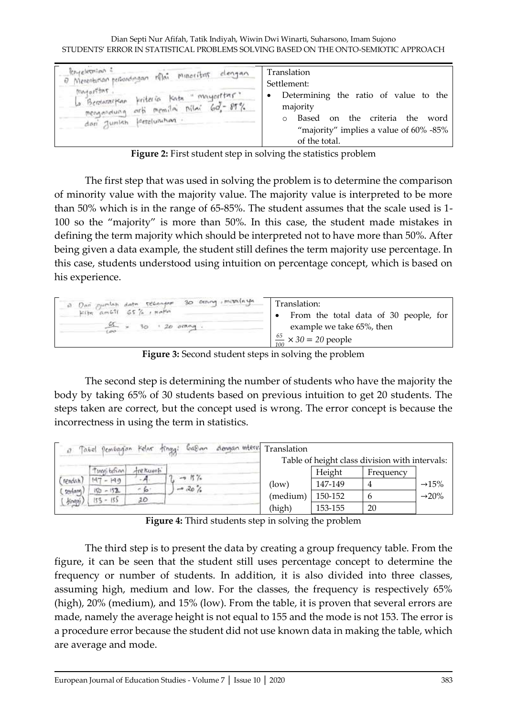| entelection =<br>0 Merenturian personologian milai minoritas dengan<br>matoritar<br>La Bertararkan finiteria kata "mayoritar"<br>mengandung orti memilai nilai 60-87%<br>dari Jumlah ferteluruhan. | Translation<br>Settlement:<br>Determining the ratio of value to the<br>٠<br>majority<br>the criteria<br>the<br>Based<br>word<br>$\alpha$<br>$\circ$<br>"majority" implies a value of $60\%$ -85%<br>of the total. |
|----------------------------------------------------------------------------------------------------------------------------------------------------------------------------------------------------|-------------------------------------------------------------------------------------------------------------------------------------------------------------------------------------------------------------------|
|----------------------------------------------------------------------------------------------------------------------------------------------------------------------------------------------------|-------------------------------------------------------------------------------------------------------------------------------------------------------------------------------------------------------------------|

**Figure 2:** First student step in solving the statistics problem

The first step that was used in solving the problem is to determine the comparison of minority value with the majority value. The majority value is interpreted to be more than 50% which is in the range of 65-85%. The student assumes that the scale used is 1- 100 so the "majority" is more than 50%. In this case, the student made mistakes in defining the term majority which should be interpreted not to have more than 50%. After being given a data example, the student still defines the term majority use percentage. In this case, students understood using intuition on percentage concept, which is based on his experience.

| $\frac{65}{100} \times 30 = 20$ people | example we take 65%, then<br>$\times$ 30 $\cdot$ 20 $\circ$ mag. | a Dan pumlah data reconform 30 crossy, minalnya<br>Translation:<br>$k$ the ambit $65\%$ , note<br>From the total data of 30 people, for<br>$\bullet$ |
|----------------------------------------|------------------------------------------------------------------|------------------------------------------------------------------------------------------------------------------------------------------------------|
|----------------------------------------|------------------------------------------------------------------|------------------------------------------------------------------------------------------------------------------------------------------------------|

**Figure 3:** Second student steps in solving the problem

The second step is determining the number of students who have the majority the body by taking 65% of 30 students based on previous intuition to get 20 students. The steps taken are correct, but the concept used is wrong. The error concept is because the incorrectness in using the term in statistics.

|         | Tabel Dembagion Kelar tinggi |           | dengan interv.<br>$698$ an | Translation |         |                                                |                    |
|---------|------------------------------|-----------|----------------------------|-------------|---------|------------------------------------------------|--------------------|
|         |                              |           |                            |             |         | Table of height class division with intervals: |                    |
|         | Threat beform                | tre Kuenh | $-0.15\%$                  |             | Height  | Frequency                                      |                    |
| rendah) | $-199$<br>$-4 + 6$           |           |                            | (low)       | 147-149 | 4                                              | $\rightarrow$ 15%  |
| sedam   | $150 - 152$                  | $-6$      | $-202$                     |             |         |                                                |                    |
| knan    | $153 - 153$                  | 2D        |                            | (medium)    | 150-152 |                                                | $\rightarrow 20\%$ |
|         |                              |           |                            | (high)      | 153-155 | 20                                             |                    |

**Figure 4:** Third students step in solving the problem

The third step is to present the data by creating a group frequency table. From the figure, it can be seen that the student still uses percentage concept to determine the frequency or number of students. In addition, it is also divided into three classes, assuming high, medium and low. For the classes, the frequency is respectively 65% (high), 20% (medium), and 15% (low). From the table, it is proven that several errors are made, namely the average height is not equal to 155 and the mode is not 153. The error is a procedure error because the student did not use known data in making the table, which are average and mode.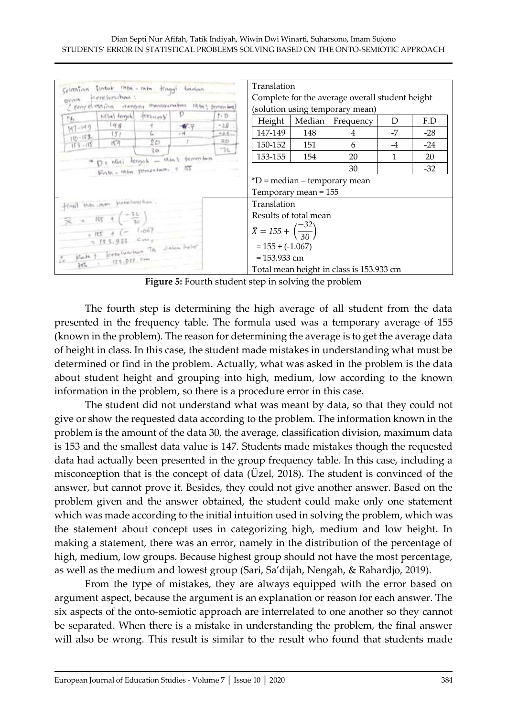|                                                                                                                                                                                                                                                                                                                                                                                                                                                                                                                                             |                                   |            |                                                                                    | Translation           |        |                                          |      |       |
|---------------------------------------------------------------------------------------------------------------------------------------------------------------------------------------------------------------------------------------------------------------------------------------------------------------------------------------------------------------------------------------------------------------------------------------------------------------------------------------------------------------------------------------------|-----------------------------------|------------|------------------------------------------------------------------------------------|-----------------------|--------|------------------------------------------|------|-------|
| Celetation links to the - rate traggi because<br>Interession is<br>BS/SN/W<br>I period estion deagon measourable 18th) femories                                                                                                                                                                                                                                                                                                                                                                                                             |                                   |            | Complete for the average overall student height<br>(solution using temporary mean) |                       |        |                                          |      |       |
|                                                                                                                                                                                                                                                                                                                                                                                                                                                                                                                                             | Mini temple treescons             |            | t-D                                                                                |                       |        |                                          |      |       |
| Th.                                                                                                                                                                                                                                                                                                                                                                                                                                                                                                                                         | 148                               |            | $-2B$                                                                              | Height                | Median | Frequency                                | D    | F.D   |
| $197 - 199$                                                                                                                                                                                                                                                                                                                                                                                                                                                                                                                                 | 151                               |            | $-2.4$                                                                             | 147-149               | 148    | 4                                        | -7   | $-28$ |
| $\frac{1521 - 791}{20 - 621}$                                                                                                                                                                                                                                                                                                                                                                                                                                                                                                               | 157                               | ΰø<br>रे क | 20 <sub>0</sub><br>TL                                                              | 150-152               | 151    | 6                                        | $-4$ | $-24$ |
|                                                                                                                                                                                                                                                                                                                                                                                                                                                                                                                                             | D & mildi tenyak - shat femantina |            |                                                                                    | 153-155               | 154    | 20                                       | 1    | 20    |
|                                                                                                                                                                                                                                                                                                                                                                                                                                                                                                                                             | Polis - Who semechants = IST      |            |                                                                                    |                       |        | 30                                       |      | $-32$ |
|                                                                                                                                                                                                                                                                                                                                                                                                                                                                                                                                             |                                   |            |                                                                                    |                       |        | $*D$ = median – temporary mean           |      |       |
|                                                                                                                                                                                                                                                                                                                                                                                                                                                                                                                                             |                                   |            |                                                                                    | Temporary mean = 155  |        |                                          |      |       |
|                                                                                                                                                                                                                                                                                                                                                                                                                                                                                                                                             | front this may fearalup has       |            |                                                                                    | Translation           |        |                                          |      |       |
|                                                                                                                                                                                                                                                                                                                                                                                                                                                                                                                                             |                                   |            |                                                                                    | Results of total mean |        |                                          |      |       |
| $\frac{1}{2}$ $\frac{1}{2}$ $\frac{1}{2}$ $\frac{1}{2}$ $\frac{1}{2}$ $\frac{1}{2}$ $\frac{1}{2}$ $\frac{1}{2}$ $\frac{1}{2}$ $\frac{1}{2}$ $\frac{1}{2}$ $\frac{1}{2}$ $\frac{1}{2}$ $\frac{1}{2}$ $\frac{1}{2}$ $\frac{1}{2}$ $\frac{1}{2}$ $\frac{1}{2}$ $\frac{1}{2}$ $\frac{1}{2}$ $\frac{1}{2}$ $\frac{1}{2}$<br>$+105$ + (- 1.067<br>$3153,933$ cm <sub>s</sub><br>$\frac{\sigma}{\sigma} = \frac{\mu}{\mu} \frac{1}{\sigma} \frac{1}{\sigma} = \frac{1}{\mu} \sigma \tau e^{i(\mu \tau \mu + \mu \rho) \sigma}$ . The platest leads |                                   |            | $\bar{X} = 155 + \left(\frac{-32}{30}\right)$                                      |                       |        |                                          |      |       |
|                                                                                                                                                                                                                                                                                                                                                                                                                                                                                                                                             |                                   |            |                                                                                    | $= 155 + (-1.067)$    |        |                                          |      |       |
|                                                                                                                                                                                                                                                                                                                                                                                                                                                                                                                                             | $(55.917 - 644)$                  |            |                                                                                    | $= 153.933$ cm        |        |                                          |      |       |
| $10-$                                                                                                                                                                                                                                                                                                                                                                                                                                                                                                                                       |                                   |            |                                                                                    |                       |        | Total mean height in class is 153.933 cm |      |       |

**Figure 5:** Fourth student step in solving the problem

The fourth step is determining the high average of all student from the data presented in the frequency table. The formula used was a temporary average of 155 (known in the problem). The reason for determining the average is to get the average data of height in class. In this case, the student made mistakes in understanding what must be determined or find in the problem. Actually, what was asked in the problem is the data about student height and grouping into high, medium, low according to the known information in the problem, so there is a procedure error in this case.

The student did not understand what was meant by data, so that they could not give or show the requested data according to the problem. The information known in the problem is the amount of the data 30, the average, classification division, maximum data is 153 and the smallest data value is 147. Students made mistakes though the requested data had actually been presented in the group frequency table. In this case, including a misconception that is the concept of data (Üzel, 2018). The student is convinced of the answer, but cannot prove it. Besides, they could not give another answer. Based on the problem given and the answer obtained, the student could make only one statement which was made according to the initial intuition used in solving the problem, which was the statement about concept uses in categorizing high, medium and low height. In making a statement, there was an error, namely in the distribution of the percentage of high, medium, low groups. Because highest group should not have the most percentage, as well as the medium and lowest group (Sari, Sa'dijah, Nengah, & Rahardjo, 2019).

From the type of mistakes, they are always equipped with the error based on argument aspect, because the argument is an explanation or reason for each answer. The six aspects of the onto-semiotic approach are interrelated to one another so they cannot be separated. When there is a mistake in understanding the problem, the final answer will also be wrong. This result is similar to the result who found that students made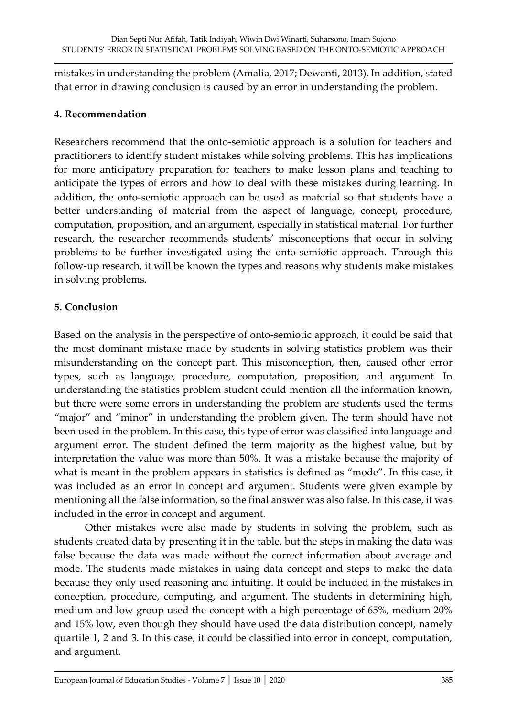mistakes in understanding the problem (Amalia, 2017; Dewanti, 2013). In addition, stated that error in drawing conclusion is caused by an error in understanding the problem.

## **4. Recommendation**

Researchers recommend that the onto-semiotic approach is a solution for teachers and practitioners to identify student mistakes while solving problems. This has implications for more anticipatory preparation for teachers to make lesson plans and teaching to anticipate the types of errors and how to deal with these mistakes during learning. In addition, the onto-semiotic approach can be used as material so that students have a better understanding of material from the aspect of language, concept, procedure, computation, proposition, and an argument, especially in statistical material. For further research, the researcher recommends students' misconceptions that occur in solving problems to be further investigated using the onto-semiotic approach. Through this follow-up research, it will be known the types and reasons why students make mistakes in solving problems.

## **5. Conclusion**

Based on the analysis in the perspective of onto-semiotic approach, it could be said that the most dominant mistake made by students in solving statistics problem was their misunderstanding on the concept part. This misconception, then, caused other error types, such as language, procedure, computation, proposition, and argument. In understanding the statistics problem student could mention all the information known, but there were some errors in understanding the problem are students used the terms "major" and "minor" in understanding the problem given. The term should have not been used in the problem. In this case, this type of error was classified into language and argument error. The student defined the term majority as the highest value, but by interpretation the value was more than 50%. It was a mistake because the majority of what is meant in the problem appears in statistics is defined as "mode". In this case, it was included as an error in concept and argument. Students were given example by mentioning all the false information, so the final answer was also false. In this case, it was included in the error in concept and argument.

Other mistakes were also made by students in solving the problem, such as students created data by presenting it in the table, but the steps in making the data was false because the data was made without the correct information about average and mode. The students made mistakes in using data concept and steps to make the data because they only used reasoning and intuiting. It could be included in the mistakes in conception, procedure, computing, and argument. The students in determining high, medium and low group used the concept with a high percentage of 65%, medium 20% and 15% low, even though they should have used the data distribution concept, namely quartile 1, 2 and 3. In this case, it could be classified into error in concept, computation, and argument.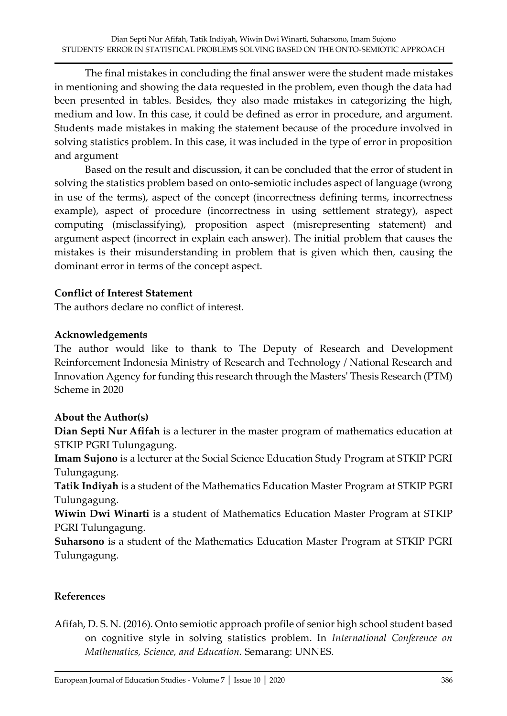The final mistakes in concluding the final answer were the student made mistakes in mentioning and showing the data requested in the problem, even though the data had been presented in tables. Besides, they also made mistakes in categorizing the high, medium and low. In this case, it could be defined as error in procedure, and argument. Students made mistakes in making the statement because of the procedure involved in solving statistics problem. In this case, it was included in the type of error in proposition and argument

Based on the result and discussion, it can be concluded that the error of student in solving the statistics problem based on onto-semiotic includes aspect of language (wrong in use of the terms), aspect of the concept (incorrectness defining terms, incorrectness example), aspect of procedure (incorrectness in using settlement strategy), aspect computing (misclassifying), proposition aspect (misrepresenting statement) and argument aspect (incorrect in explain each answer). The initial problem that causes the mistakes is their misunderstanding in problem that is given which then, causing the dominant error in terms of the concept aspect.

## **Conflict of Interest Statement**

The authors declare no conflict of interest.

## **Acknowledgements**

The author would like to thank to The Deputy of Research and Development Reinforcement Indonesia Ministry of Research and Technology / National Research and Innovation Agency for funding this research through the Masters' Thesis Research (PTM) Scheme in 2020

#### **About the Author(s)**

**Dian Septi Nur Afifah** is a lecturer in the master program of mathematics education at STKIP PGRI Tulungagung.

**Imam Sujono** is a lecturer at the Social Science Education Study Program at STKIP PGRI Tulungagung.

**Tatik Indiyah** is a student of the Mathematics Education Master Program at STKIP PGRI Tulungagung.

**Wiwin Dwi Winarti** is a student of Mathematics Education Master Program at STKIP PGRI Tulungagung.

**Suharsono** is a student of the Mathematics Education Master Program at STKIP PGRI Tulungagung.

# **References**

Afifah, D. S. N. (2016). Onto semiotic approach profile of senior high school student based on cognitive style in solving statistics problem. In *International Conference on Mathematics, Science, and Education*. Semarang: UNNES.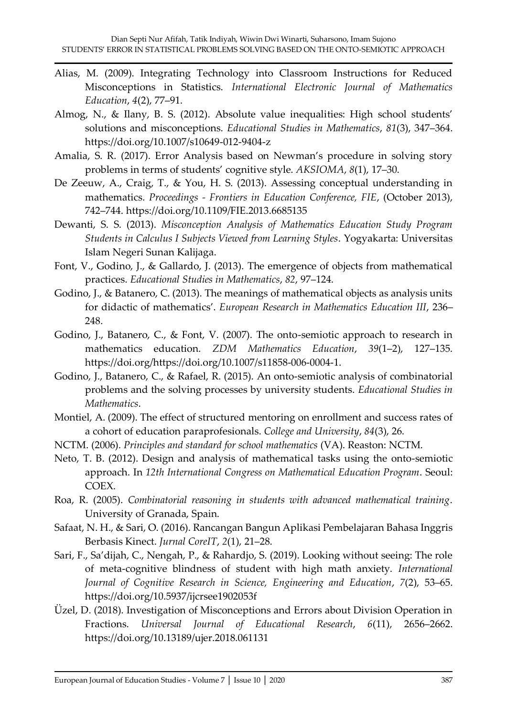- Alias, M. (2009). Integrating Technology into Classroom Instructions for Reduced Misconceptions in Statistics. *International Electronic Journal of Mathematics Education*, *4*(2), 77–91.
- Almog, N., & Ilany, B. S. (2012). Absolute value inequalities: High school students' solutions and misconceptions. *Educational Studies in Mathematics*, *81*(3), 347–364. https://doi.org/10.1007/s10649-012-9404-z
- Amalia, S. R. (2017). Error Analysis based on Newman's procedure in solving story problems in terms of students' cognitive style. *AKSIOMA*, *8*(1), 17–30.
- De Zeeuw, A., Craig, T., & You, H. S. (2013). Assessing conceptual understanding in mathematics. *Proceedings - Frontiers in Education Conference, FIE*, (October 2013), 742–744. https://doi.org/10.1109/FIE.2013.6685135
- Dewanti, S. S. (2013). *Misconception Analysis of Mathematics Education Study Program Students in Calculus I Subjects Viewed from Learning Styles*. Yogyakarta: Universitas Islam Negeri Sunan Kalijaga.
- Font, V., Godino, J., & Gallardo, J. (2013). The emergence of objects from mathematical practices. *Educational Studies in Mathematics*, *82*, 97–124.
- Godino, J., & Batanero, C. (2013). The meanings of mathematical objects as analysis units for didactic of mathematics'. *European Research in Mathematics Education III*, 236– 248.
- Godino, J., Batanero, C., & Font, V. (2007). The onto-semiotic approach to research in mathematics education. *ZDM Mathematics Education*, *39*(1–2), 127–135. https://doi.org/https://doi.org/10.1007/s11858-006-0004-1.
- Godino, J., Batanero, C., & Rafael, R. (2015). An onto-semiotic analysis of combinatorial problems and the solving processes by university students. *Educational Studies in Mathematics*.
- Montiel, A. (2009). The effect of structured mentoring on enrollment and success rates of a cohort of education paraprofesionals. *College and University*, *84*(3), 26.
- NCTM. (2006). *Principles and standard for school mathematics* (VA). Reaston: NCTM.
- Neto, T. B. (2012). Design and analysis of mathematical tasks using the onto-semiotic approach. In *12th International Congress on Mathematical Education Program*. Seoul: COEX.
- Roa, R. (2005). *Combinatorial reasoning in students with advanced mathematical training*. University of Granada, Spain.
- Safaat, N. H., & Sari, O. (2016). Rancangan Bangun Aplikasi Pembelajaran Bahasa Inggris Berbasis Kinect. *Jurnal CoreIT*, *2*(1), 21–28.
- Sari, F., Sa'dijah, C., Nengah, P., & Rahardjo, S. (2019). Looking without seeing: The role of meta-cognitive blindness of student with high math anxiety. *International Journal of Cognitive Research in Science, Engineering and Education*, *7*(2), 53–65. https://doi.org/10.5937/ijcrsee1902053f
- Üzel, D. (2018). Investigation of Misconceptions and Errors about Division Operation in Fractions. *Universal Journal of Educational Research*, *6*(11), 2656–2662. https://doi.org/10.13189/ujer.2018.061131